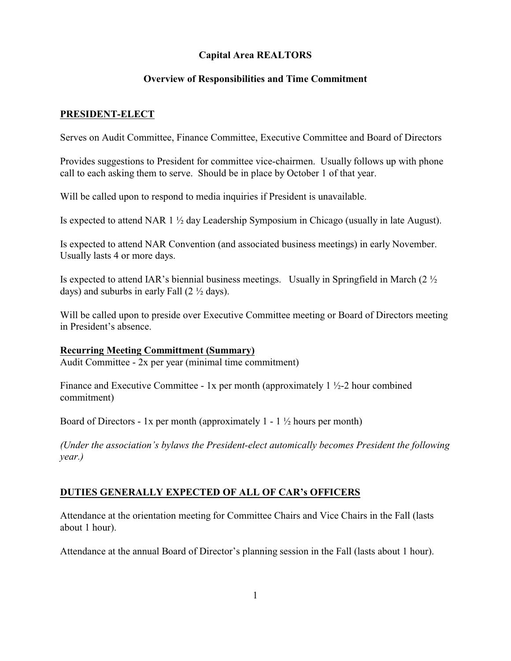# **Capital Area REALTORS**

# **Overview of Responsibilities and Time Commitment**

### **PRESIDENT-ELECT**

Serves on Audit Committee, Finance Committee, Executive Committee and Board of Directors

Provides suggestions to President for committee vice-chairmen. Usually follows up with phone call to each asking them to serve. Should be in place by October 1 of that year.

Will be called upon to respond to media inquiries if President is unavailable.

Is expected to attend NAR 1 ½ day Leadership Symposium in Chicago (usually in late August).

Is expected to attend NAR Convention (and associated business meetings) in early November. Usually lasts 4 or more days.

Is expected to attend IAR's biennial business meetings. Usually in Springfield in March (2 ½ days) and suburbs in early Fall (2 ½ days).

Will be called upon to preside over Executive Committee meeting or Board of Directors meeting in President's absence.

### **Recurring Meeting Committment (Summary)**

Audit Committee - 2x per year (minimal time commitment)

Finance and Executive Committee - 1x per month (approximately  $1\frac{1}{2}$ -2 hour combined commitment)

Board of Directors - 1x per month (approximately  $1 - 1 \frac{1}{2}$  hours per month)

*(Under the association's bylaws the President-elect automically becomes President the following year.)*

# **DUTIES GENERALLY EXPECTED OF ALL OF CAR's OFFICERS**

Attendance at the orientation meeting for Committee Chairs and Vice Chairs in the Fall (lasts about 1 hour).

Attendance at the annual Board of Director's planning session in the Fall (lasts about 1 hour).